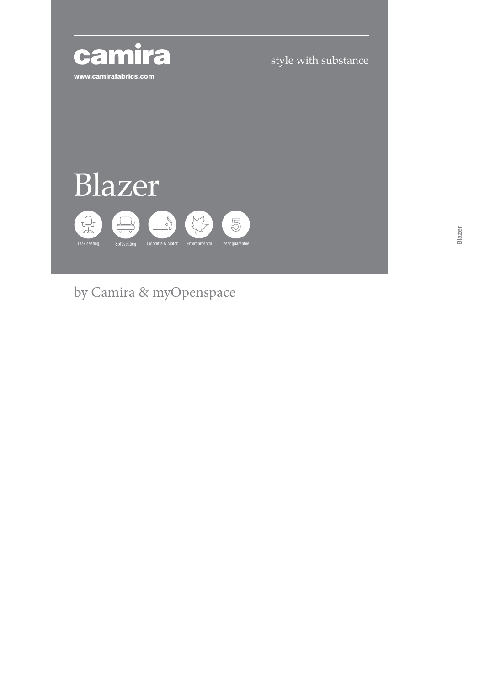

style with substance



by Camira & myOpenspace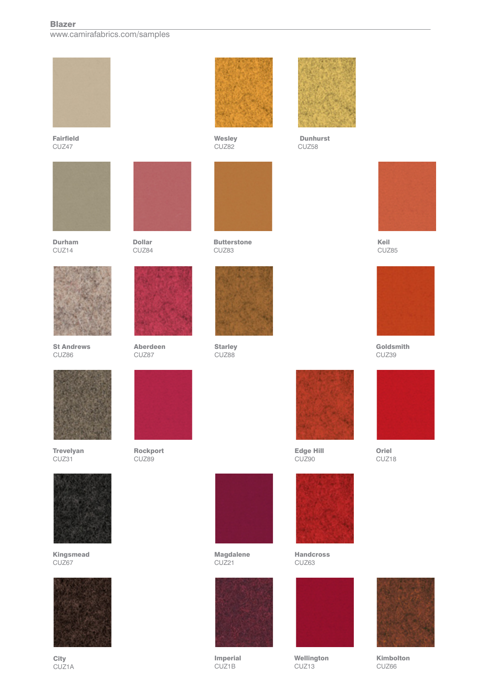## Blazer

www.camirafabrics.com/samples



Fairfield CUZ47







St Andrews CUZ86



Trevelyan CUZ31



Kingsmead CUZ67



**City** CUZ1A



Wesley CUZ82



**Butterstone** CUZ83



**Starley** CUZ88



Aberdeen CUZ87

Dollar CUZ84

Rockport CUZ89



Magdalene CUZ21



Imperial CUZ1B



 Dunhurst CUZ58



Keil CUZ85



Goldsmith CUZ39



Oriel CUZ18



Handcross CUZ63

Edge Hill CUZ90



Wellington CUZ13





Kimbolton CUZ66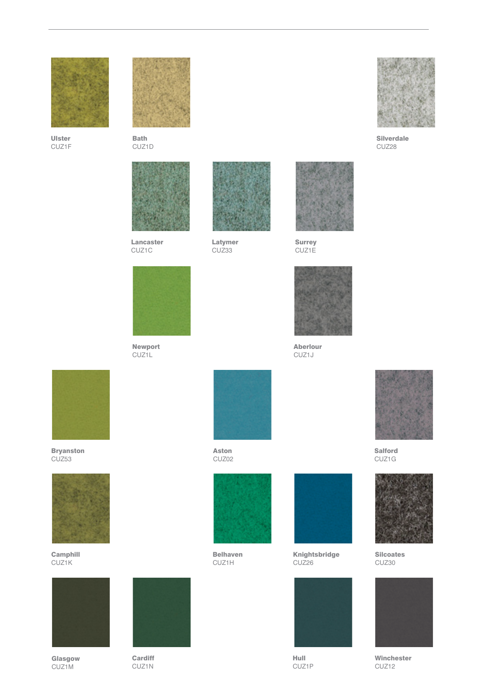

Ulster CUZ1F



Bath CUZ1D



Lancaster CUZ1C



Newport CUZ1L

**Cardiff** CUZ<sub>1</sub>N



Latymer CUZ33



Surrey CUZ1E



Aberlour CUZ1J



Bryanston CUZ53



Camphill CUZ1K



Glasgow CUZ1M



Aston CUZ02



Belhaven CUZ1H



Knightsbridge CUZ26



Hull CUZ1P



Silverdale CUZ28



Salford CUZ1G



Silcoates CUZ30



Winchester CUZ12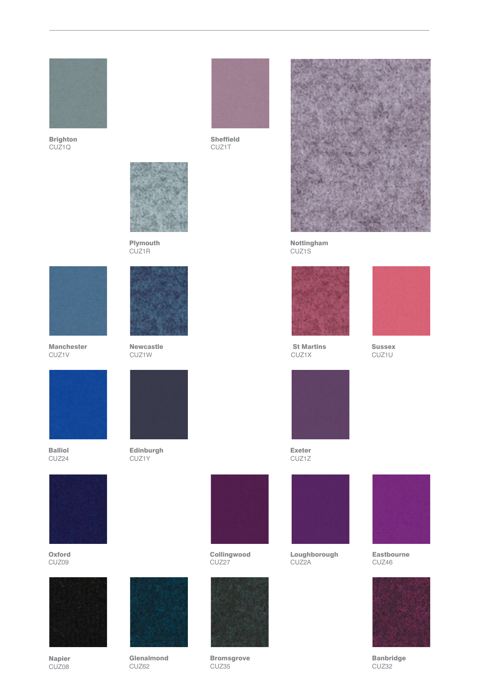

Brighton CUZ1Q



Sheffield CUZ<sub>1</sub>T



Plymouth CUZ1R



Manchester CUZ1V



Balliol CUZ24



**Oxford** CUZ09



Napier CUZ08



Newcastle CUZ1W



Edinburgh CUZ1Y

Glenalmond CUZ<sub>62</sub>





**Bromsgrove** CUZ35



Nottingham CUZ1S



 St Martins CUZ1X



Sussex CUZ1U



Exeter CUZ1Z



Loughborough CUZ2A



Eastbourne CUZ46



Banbridge CUZ32